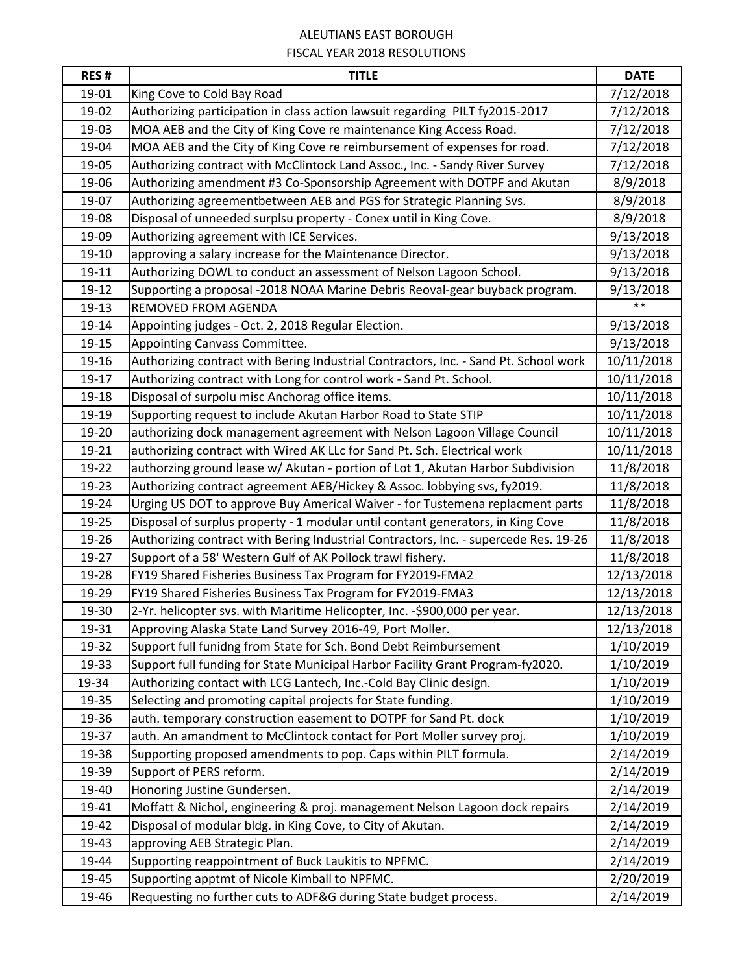## ALEUTIANS EAST BOROUGH FISCAL YEAR 2018 RESOLUTIONS

| <b>RES#</b> | <b>TITLE</b>                                                                         | <b>DATE</b> |
|-------------|--------------------------------------------------------------------------------------|-------------|
| 19-01       | King Cove to Cold Bay Road                                                           | 7/12/2018   |
| 19-02       | Authorizing participation in class action lawsuit regarding PILT fy2015-2017         | 7/12/2018   |
| 19-03       | MOA AEB and the City of King Cove re maintenance King Access Road.                   | 7/12/2018   |
| 19-04       | MOA AEB and the City of King Cove re reimbursement of expenses for road.             | 7/12/2018   |
| 19-05       | Authorizing contract with McClintock Land Assoc., Inc. - Sandy River Survey          | 7/12/2018   |
| 19-06       | Authorizing amendment #3 Co-Sponsorship Agreement with DOTPF and Akutan              | 8/9/2018    |
| 19-07       | Authorizing agreementbetween AEB and PGS for Strategic Planning Svs.                 | 8/9/2018    |
| 19-08       | Disposal of unneeded surplsu property - Conex until in King Cove.                    | 8/9/2018    |
| 19-09       | Authorizing agreement with ICE Services.                                             | 9/13/2018   |
| 19-10       | approving a salary increase for the Maintenance Director.                            | 9/13/2018   |
| 19-11       | Authorizing DOWL to conduct an assessment of Nelson Lagoon School.                   | 9/13/2018   |
| 19-12       | Supporting a proposal -2018 NOAA Marine Debris Reoval-gear buyback program.          | 9/13/2018   |
| 19-13       | REMOVED FROM AGENDA                                                                  | $***$       |
| 19-14       | Appointing judges - Oct. 2, 2018 Regular Election.                                   | 9/13/2018   |
| 19-15       | Appointing Canvass Committee.                                                        | 9/13/2018   |
| 19-16       | Authorizing contract with Bering Industrial Contractors, Inc. - Sand Pt. School work | 10/11/2018  |
| 19-17       | Authorizing contract with Long for control work - Sand Pt. School.                   | 10/11/2018  |
| 19-18       | Disposal of surpolu misc Anchorag office items.                                      | 10/11/2018  |
| 19-19       | Supporting request to include Akutan Harbor Road to State STIP                       | 10/11/2018  |
| 19-20       | authorizing dock management agreement with Nelson Lagoon Village Council             | 10/11/2018  |
| 19-21       | authorizing contract with Wired AK LLc for Sand Pt. Sch. Electrical work             | 10/11/2018  |
| 19-22       | authorzing ground lease w/ Akutan - portion of Lot 1, Akutan Harbor Subdivision      | 11/8/2018   |
| 19-23       | Authorizing contract agreement AEB/Hickey & Assoc. lobbying svs, fy2019.             | 11/8/2018   |
| 19-24       | Urging US DOT to approve Buy Americal Waiver - for Tustemena replacment parts        | 11/8/2018   |
| 19-25       | Disposal of surplus property - 1 modular until contant generators, in King Cove      | 11/8/2018   |
| 19-26       | Authorizing contract with Bering Industrial Contractors, Inc. - supercede Res. 19-26 | 11/8/2018   |
| 19-27       | Support of a 58' Western Gulf of AK Pollock trawl fishery.                           | 11/8/2018   |
| 19-28       | FY19 Shared Fisheries Business Tax Program for FY2019-FMA2                           | 12/13/2018  |
| 19-29       | FY19 Shared Fisheries Business Tax Program for FY2019-FMA3                           | 12/13/2018  |
| 19-30       | 2-Yr. helicopter svs. with Maritime Helicopter, Inc. -\$900,000 per year.            | 12/13/2018  |
| 19-31       | Approving Alaska State Land Survey 2016-49, Port Moller.                             | 12/13/2018  |
| 19-32       | Support full funidng from State for Sch. Bond Debt Reimbursement                     | 1/10/2019   |
| 19-33       | Support full funding for State Municipal Harbor Facility Grant Program-fy2020.       | 1/10/2019   |
| 19-34       | Authorizing contact with LCG Lantech, Inc.-Cold Bay Clinic design.                   | 1/10/2019   |
| 19-35       | Selecting and promoting capital projects for State funding.                          | 1/10/2019   |
| 19-36       | auth. temporary construction easement to DOTPF for Sand Pt. dock                     | 1/10/2019   |
| 19-37       | auth. An amandment to McClintock contact for Port Moller survey proj.                | 1/10/2019   |
| 19-38       | Supporting proposed amendments to pop. Caps within PILT formula.                     | 2/14/2019   |
| 19-39       | Support of PERS reform.                                                              | 2/14/2019   |
| 19-40       | Honoring Justine Gundersen.                                                          | 2/14/2019   |
| 19-41       | Moffatt & Nichol, engineering & proj. management Nelson Lagoon dock repairs          | 2/14/2019   |
| 19-42       | Disposal of modular bldg. in King Cove, to City of Akutan.                           | 2/14/2019   |
| 19-43       | approving AEB Strategic Plan.                                                        | 2/14/2019   |
| 19-44       | Supporting reappointment of Buck Laukitis to NPFMC.                                  | 2/14/2019   |
| 19-45       | Supporting apptmt of Nicole Kimball to NPFMC.                                        | 2/20/2019   |
| 19-46       | Requesting no further cuts to ADF&G during State budget process.                     | 2/14/2019   |